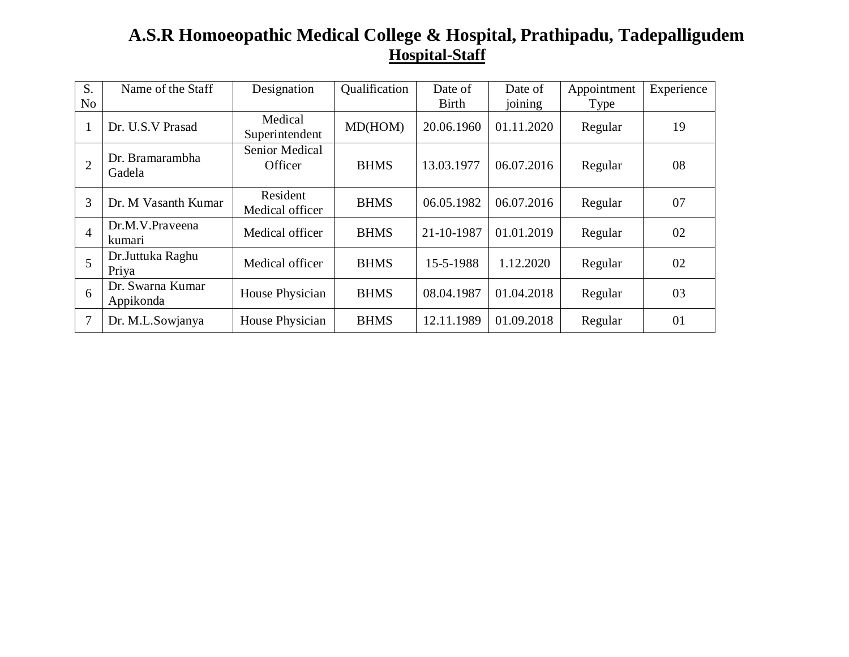## **A.S.R Homoeopathic Medical College & Hospital, Prathipadu, Tadepalligudem Hospital-Staff**

| S.             | Name of the Staff             | Designation                 | Qualification | Date of    | Date of    | Appointment | Experience |
|----------------|-------------------------------|-----------------------------|---------------|------------|------------|-------------|------------|
| N <sub>0</sub> |                               |                             |               | Birth      | joining    | Type        |            |
|                | Dr. U.S.V Prasad              | Medical<br>Superintendent   | MD(HOM)       | 20.06.1960 | 01.11.2020 | Regular     | 19         |
| $\overline{2}$ | Dr. Bramarambha<br>Gadela     | Senior Medical<br>Officer   | <b>BHMS</b>   | 13.03.1977 | 06.07.2016 | Regular     | 08         |
| 3              | Dr. M Vasanth Kumar           | Resident<br>Medical officer | <b>BHMS</b>   | 06.05.1982 | 06.07.2016 | Regular     | 07         |
| $\overline{4}$ | Dr.M.V.Prayeena<br>kumari     | Medical officer             | <b>BHMS</b>   | 21-10-1987 | 01.01.2019 | Regular     | 02         |
| 5              | Dr.Juttuka Raghu<br>Priya     | Medical officer             | <b>BHMS</b>   | 15-5-1988  | 1.12.2020  | Regular     | 02         |
| 6              | Dr. Swarna Kumar<br>Appikonda | House Physician             | <b>BHMS</b>   | 08.04.1987 | 01.04.2018 | Regular     | 03         |
| $\overline{7}$ | Dr. M.L.Sowjanya              | House Physician             | <b>BHMS</b>   | 12.11.1989 | 01.09.2018 | Regular     | 01         |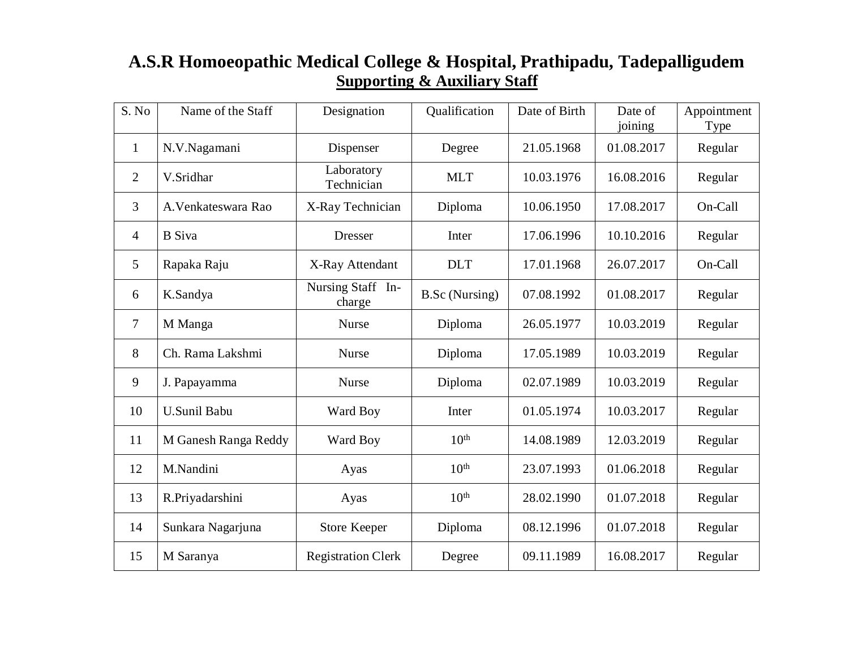## **A.S.R Homoeopathic Medical College & Hospital, Prathipadu, Tadepalligudem Supporting & Auxiliary Staff**

| S. No          | Name of the Staff    | Designation                 | Qualification         | Date of Birth | Date of<br>joining | Appointment<br>Type |
|----------------|----------------------|-----------------------------|-----------------------|---------------|--------------------|---------------------|
| $\mathbf{1}$   | N.V.Nagamani         | Dispenser                   | Degree                | 21.05.1968    | 01.08.2017         | Regular             |
| $\overline{2}$ | V.Sridhar            | Laboratory<br>Technician    | <b>MLT</b>            | 10.03.1976    | 16.08.2016         | Regular             |
| 3              | A. Venkateswara Rao  | X-Ray Technician            | Diploma               | 10.06.1950    | 17.08.2017         | On-Call             |
| 4              | <b>B</b> Siva        | <b>Dresser</b>              | Inter                 | 17.06.1996    | 10.10.2016         | Regular             |
| 5              | Rapaka Raju          | X-Ray Attendant             | <b>DLT</b>            | 17.01.1968    | 26.07.2017         | On-Call             |
| 6              | K.Sandya             | Nursing Staff In-<br>charge | <b>B.Sc</b> (Nursing) | 07.08.1992    | 01.08.2017         | Regular             |
| 7              | M Manga              | <b>Nurse</b>                | Diploma               | 26.05.1977    | 10.03.2019         | Regular             |
| 8              | Ch. Rama Lakshmi     | <b>Nurse</b>                | Diploma               | 17.05.1989    | 10.03.2019         | Regular             |
| 9              | J. Papayamma         | <b>Nurse</b>                | Diploma               | 02.07.1989    | 10.03.2019         | Regular             |
| 10             | <b>U.Sunil Babu</b>  | Ward Boy                    | Inter                 | 01.05.1974    | 10.03.2017         | Regular             |
| 11             | M Ganesh Ranga Reddy | Ward Boy                    | 10 <sup>th</sup>      | 14.08.1989    | 12.03.2019         | Regular             |
| 12             | M.Nandini            | Ayas                        | 10 <sup>th</sup>      | 23.07.1993    | 01.06.2018         | Regular             |
| 13             | R.Priyadarshini      | Ayas                        | 10 <sup>th</sup>      | 28.02.1990    | 01.07.2018         | Regular             |
| 14             | Sunkara Nagarjuna    | <b>Store Keeper</b>         | Diploma               | 08.12.1996    | 01.07.2018         | Regular             |
| 15             | M Saranya            | <b>Registration Clerk</b>   | Degree                | 09.11.1989    | 16.08.2017         | Regular             |